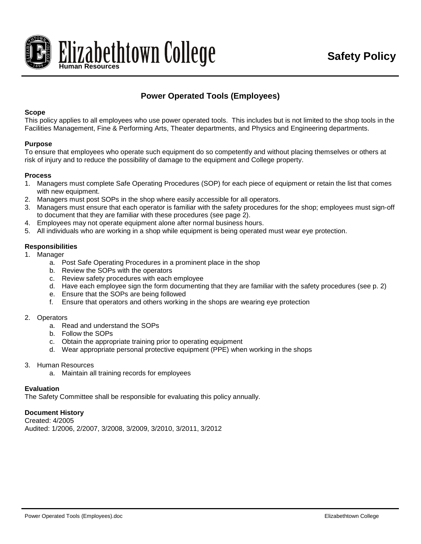

# **Power Operated Tools (Employees)**

### **Scope**

This policy applies to all employees who use power operated tools. This includes but is not limited to the shop tools in the Facilities Management, Fine & Performing Arts, Theater departments, and Physics and Engineering departments.

### **Purpose**

To ensure that employees who operate such equipment do so competently and without placing themselves or others at risk of injury and to reduce the possibility of damage to the equipment and College property.

### **Process**

- 1. Managers must complete Safe Operating Procedures (SOP) for each piece of equipment or retain the list that comes with new equipment.
- 2. Managers must post SOPs in the shop where easily accessible for all operators.
- 3. Managers must ensure that each operator is familiar with the safety procedures for the shop; employees must sign-off to document that they are familiar with these procedures (see page 2).
- 4. Employees may not operate equipment alone after normal business hours.
- 5. All individuals who are working in a shop while equipment is being operated must wear eye protection.

### **Responsibilities**

- 1. Manager
	- a. Post Safe Operating Procedures in a prominent place in the shop
	- b. Review the SOPs with the operators
	- c. Review safety procedures with each employee
	- d. Have each employee sign the form documenting that they are familiar with the safety procedures (see p. 2)
	- e. Ensure that the SOPs are being followed
	- f. Ensure that operators and others working in the shops are wearing eye protection

#### 2. Operators

- a. Read and understand the SOPs
- b. Follow the SOPs
- c. Obtain the appropriate training prior to operating equipment
- d. Wear appropriate personal protective equipment (PPE) when working in the shops
- 3. Human Resources
	- a. Maintain all training records for employees

#### **Evaluation**

The Safety Committee shall be responsible for evaluating this policy annually.

## **Document History**

Created: 4/2005 Audited: 1/2006, 2/2007, 3/2008, 3/2009, 3/2010, 3/2011, 3/2012